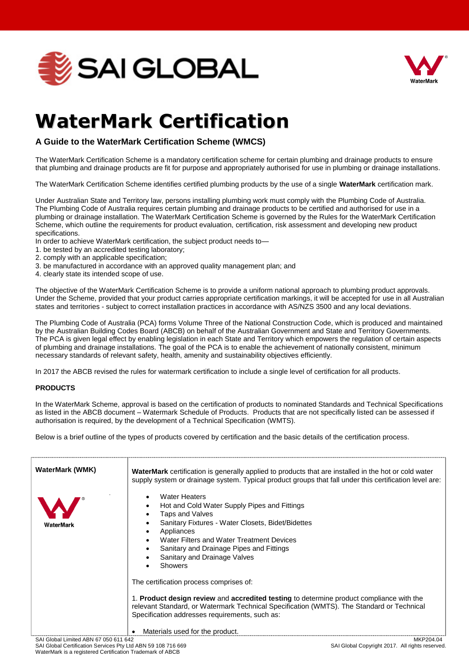



## **WaterMark Certification**

## **A Guide to the WaterMark Certification Scheme (WMCS)**

The WaterMark Certification Scheme is a mandatory certification scheme for certain plumbing and drainage products to ensure that plumbing and drainage products are fit for purpose and appropriately authorised for use in plumbing or drainage installations.

The WaterMark Certification Scheme identifies certified plumbing products by the use of a single **WaterMark** certification mark.

Under Australian State and Territory law, persons installing plumbing work must comply with the Plumbing Code of Australia. The Plumbing Code of Australia requires certain plumbing and drainage products to be certified and authorised for use in a plumbing or drainage installation. The WaterMark Certification Scheme is governed by the Rules for the WaterMark Certification Scheme, which outline the requirements for product evaluation, certification, risk assessment and developing new product specifications.

- In order to achieve WaterMark certification, the subject product needs to—
- 1. be tested by an accredited testing laboratory;
- 2. comply with an applicable specification;
- 3. be manufactured in accordance with an approved quality management plan; and
- 4. clearly state its intended scope of use.

The objective of the WaterMark Certification Scheme is to provide a uniform national approach to plumbing product approvals. Under the Scheme, provided that your product carries appropriate certification markings, it will be accepted for use in all Australian states and territories - subject to correct installation practices in accordance with AS/NZS 3500 and any local deviations.

The Plumbing Code of Australia (PCA) forms Volume Three of the National Construction Code, which is produced and maintained by the Australian Building Codes Board (ABCB) on behalf of the Australian Government and State and Territory Governments. The PCA is given legal effect by enabling legislation in each State and Territory which empowers the regulation of certain aspects of plumbing and drainage installations. The goal of the PCA is to enable the achievement of nationally consistent, minimum necessary standards of relevant safety, health, amenity and sustainability objectives efficiently.

In 2017 the ABCB revised the rules for watermark certification to include a single level of certification for all products.

## **PRODUCTS**

In the WaterMark Scheme, approval is based on the certification of products to nominated Standards and Technical Specifications as listed in the ABCB document – Watermark Schedule of Products. Products that are not specifically listed can be assessed if authorisation is required, by the development of a Technical Specification (WMTS).

Below is a brief outline of the types of products covered by certification and the basic details of the certification process.

| <b>WaterMark (WMK)</b>                                       | <b>WaterMark</b> certification is generally applied to products that are installed in the hot or cold water<br>supply system or drainage system. Typical product groups that fall under this certification level are:                                                                                                 |
|--------------------------------------------------------------|-----------------------------------------------------------------------------------------------------------------------------------------------------------------------------------------------------------------------------------------------------------------------------------------------------------------------|
| WaterMark                                                    | <b>Water Heaters</b><br>Hot and Cold Water Supply Pipes and Fittings<br>Taps and Valves<br>Sanitary Fixtures - Water Closets, Bidet/Bidettes<br>Appliances<br>Water Filters and Water Treatment Devices<br>Sanitary and Drainage Pipes and Fittings<br>Sanitary and Drainage Valves<br><b>Showers</b>                 |
|                                                              | The certification process comprises of:<br>1. Product design review and accredited testing to determine product compliance with the<br>relevant Standard, or Watermark Technical Specification (WMTS). The Standard or Technical<br>Specification addresses requirements, such as:<br>Materials used for the product. |
| SAI Global Limited ABN 67 050 611 642                        | MKP204.04                                                                                                                                                                                                                                                                                                             |
| SAI Global Certification Services Pty Ltd ABN 59 108 716 669 | SAI Global Copyright 2017. All rights reserved.                                                                                                                                                                                                                                                                       |